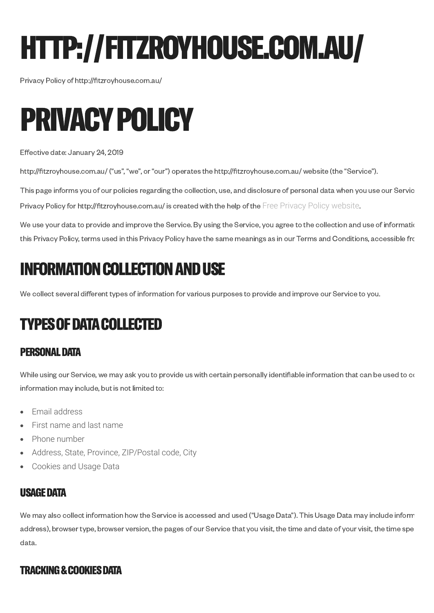# HTTP://FITZROYHOUSE.COM.AU/

Privacy Policy of http://fitzroyhouse.com.au/



Effective date: January 24, 2019

http://fitzroyhouse.com.au/ ("us", "we", or "our") operates the http://fitzroyhouse.com.au/ website (the "Service").

This page informs you of our policies regarding the collection, use, and disclosure of personal data when you use our Servic Privacy Policy for http://fitzroyhouse.com.au/ is created with the help of the [Free Privacy Policy website](https://www.freeprivacypolicy.com/).

We use your data to provide and improve the Service. By using the Service, you agree to the collection and use of information this Privacy Policy, terms used in this Privacy Policy have the same meanings as in our Terms and Conditions, accessible fro

## INFORMATION COLLECTION AND USE

We collect several different types of information for various purposes to provide and improve our Service to you.

# TYPES OF DATA COLLECTED

#### PERSONAL DATA

While using our Service, we may ask you to provide us with certain personally identifiable information that can be used to  $\alpha$ information may include, but is not limited to:

- Email address  $\bullet$
- First name and last name  $\bullet$
- Phone number
- Address, State, Province, ZIP/Postal code, City  $\bullet$
- Cookies and Usage Data

#### USAGE DATA

We may also collect information how the Service is accessed and used ("Usage Data"). This Usage Data may include inform address), browser type, browser version, the pages of our Service that you visit, the time and date of your visit, the time spe data.

#### TRACKING & COOKIES DATA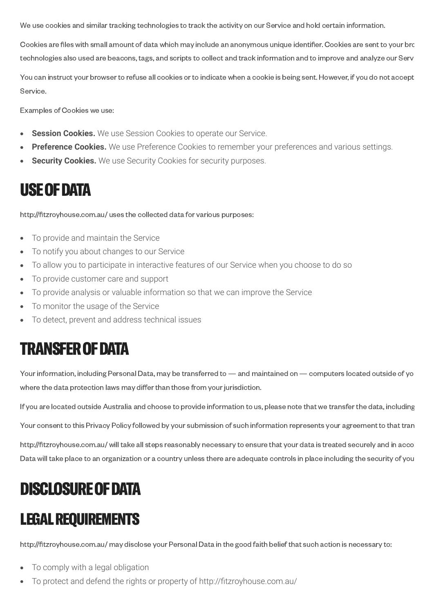We use cookies and similar tracking technologies to track the activity on our Service and hold certain information.

Cookies are files with small amount of data which may include an anonymous unique identifier. Cookies are sent to your bro technologies also used are beacons, tags, and scripts to collect and track information and to improve and analyze our Serv

You can instruct your browser to refuse all cookies or to indicate when a cookie is being sent. However, if you do not accept Service.

Examples of Cookies we use:

- **Session Cookies.** We use Session Cookies to operate our Service.  $\bullet$
- **Preference Cookies.** We use Preference Cookies to remember your preferences and various settings.
- **Security Cookies.** We use Security Cookies for security purposes.

#### USE OF DATA

http://fitzroyhouse.com.au/ uses the collected data for various purposes:

- To provide and maintain the Service  $\bullet$
- To notify you about changes to our Service  $\bullet$
- $\bullet$ To allow you to participate in interactive features of our Service when you choose to do so
- To provide customer care and support  $\bullet$
- To provide analysis or valuable information so that we can improve the Service  $\bullet$
- To monitor the usage of the Service  $\bullet$
- To detect, prevent and address technical issues

# TRANSFER OF DATA

Your information, including Personal Data, may be transferred to — and maintained on — computers located outside of yo where the data protection laws may differ than those from your jurisdiction.

If you are located outside Australia and choose to provide information to us, please note that we transfer the data, including

Your consent to this Privacy Policy followed by your submission of such information represents your agreement to that tran

http://fitzroyhouse.com.au/ will take all steps reasonably necessary to ensure that your data is treated securely and in acco Data will take place to an organization or a country unless there are adequate controls in place including the security of you

# DISCLOSURE OF DATA

## LEGAL REQUIREMENTS

http://fitzroyhouse.com.au/ may disclose your Personal Data in the good faith belief that such action is necessary to:

- To comply with a legal obligation
- To protect and defend the rights or property of http://fitzroyhouse.com.au/